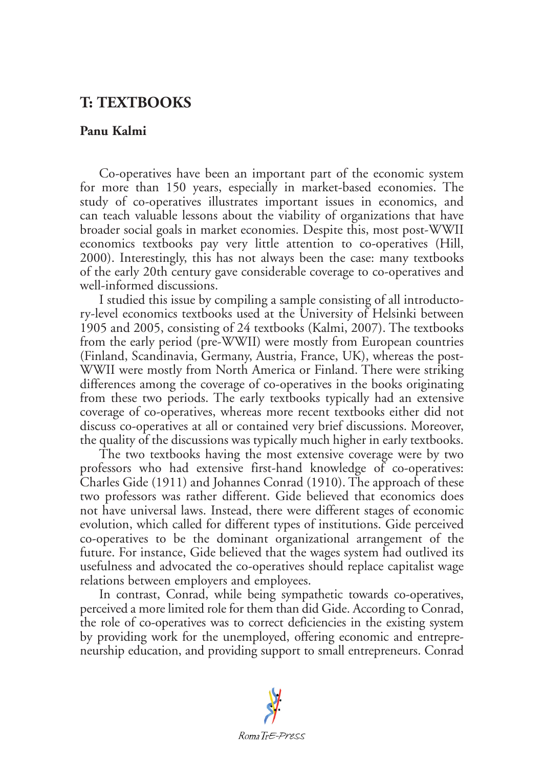## **T: TEXTBOOKS**

## **Panu Kalmi**

Co-operatives have been an important part of the economic system for more than 150 years, especially in market-based economies. The study of co-operatives illustrates important issues in economics, and can teach valuable lessons about the viability of organizations that have broader social goals in market economies. Despite this, most post-WWII economics textbooks pay very little attention to co-operatives (Hill, 2000). Interestingly, this has not always been the case: many textbooks of the early 20th century gave considerable coverage to co-operatives and well-informed discussions.

I studied this issue by compiling a sample consisting of all introductory-level economics textbooks used at the University of Helsinki between 1905 and 2005, consisting of 24 textbooks (Kalmi, 2007). The textbooks from the early period (pre-WWII) were mostly from European countries (Finland, Scandinavia, Germany, Austria, France, UK), whereas the post-WWII were mostly from North America or Finland. There were striking differences among the coverage of co-operatives in the books originating from these two periods. The early textbooks typically had an extensive coverage of co-operatives, whereas more recent textbooks either did not discuss co-operatives at all or contained very brief discussions. Moreover, the quality of the discussions was typically much higher in early textbooks.

The two textbooks having the most extensive coverage were by two professors who had extensive first-hand knowledge of co-operatives: Charles Gide (1911) and Johannes Conrad (1910). The approach of these two professors was rather different. Gide believed that economics does not have universal laws. Instead, there were different stages of economic evolution, which called for different types of institutions. Gide perceived co-operatives to be the dominant organizational arrangement of the future. For instance, Gide believed that the wages system had outlived its usefulness and advocated the co-operatives should replace capitalist wage relations between employers and employees.

In contrast, Conrad, while being sympathetic towards co-operatives, perceived a more limited role for them than did Gide. According to Conrad, the role of co-operatives was to correct deficiencies in the existing system by providing work for the unemployed, offering economic and entrepreneurship education, and providing support to small entrepreneurs. Conrad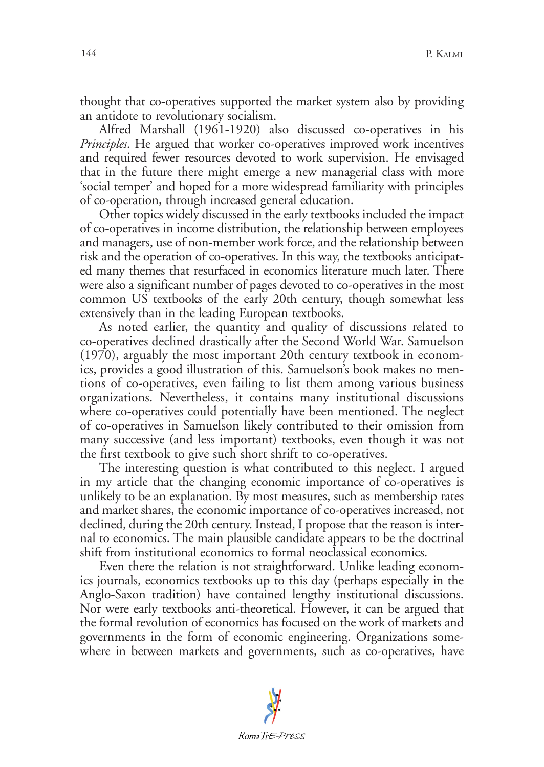thought that co-operatives supported the market system also by providing an antidote to revolutionary socialism.

Alfred Marshall (1961-1920) also discussed co-operatives in his *Principles*. He argued that worker co-operatives improved work incentives and required fewer resources devoted to work supervision. He envisaged that in the future there might emerge a new managerial class with more 'social temper' and hoped for a more widespread familiarity with principles of co-operation, through increased general education.

Other topics widely discussed in the early textbooks included the impact of co-operatives in income distribution, the relationship between employees and managers, use of non-member work force, and the relationship between risk and the operation of co-operatives. In this way, the textbooks anticipated many themes that resurfaced in economics literature much later. There were also a significant number of pages devoted to co-operatives in the most common US textbooks of the early 20th century, though somewhat less extensively than in the leading European textbooks.

As noted earlier, the quantity and quality of discussions related to co-operatives declined drastically after the Second World War. Samuelson (1970), arguably the most important 20th century textbook in economics, provides a good illustration of this. Samuelson's book makes no mentions of co-operatives, even failing to list them among various business organizations. Nevertheless, it contains many institutional discussions where co-operatives could potentially have been mentioned. The neglect of co-operatives in Samuelson likely contributed to their omission from many successive (and less important) textbooks, even though it was not the first textbook to give such short shrift to co-operatives.

The interesting question is what contributed to this neglect. I argued in my article that the changing economic importance of co-operatives is unlikely to be an explanation. By most measures, such as membership rates and market shares, the economic importance of co-operatives increased, not declined, during the 20th century. Instead, I propose that the reason is internal to economics. The main plausible candidate appears to be the doctrinal shift from institutional economics to formal neoclassical economics.

Even there the relation is not straightforward. Unlike leading economics journals, economics textbooks up to this day (perhaps especially in the Anglo-Saxon tradition) have contained lengthy institutional discussions. Nor were early textbooks anti-theoretical. However, it can be argued that the formal revolution of economics has focused on the work of markets and governments in the form of economic engineering. Organizations somewhere in between markets and governments, such as co-operatives, have